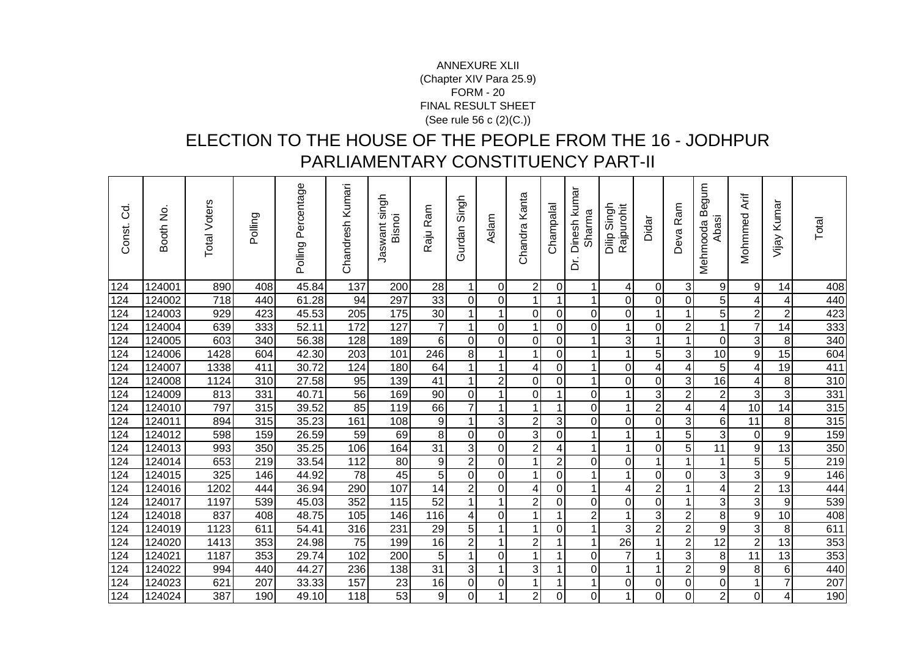## FORM - 20 FINAL RESULT SHEET (See rule 56 c (2)(C.))ANNEXURE XLII(Chapter XIV Para 25.9)

## ELECTION TO THE HOUSE OF THE PEOPLE FROM THE 16 - JODHPUR PARLIAMENTARY CONSTITUENCY PART-II

| ರ<br>$\circ$<br>Const. | Booth No | <b>Total Voters</b> | Polling | Polling Percentage | Chandresh Kumari | singh<br>Bisnoi<br>Jaswant | Raju Ram        | Singh<br>Gurdan  | Aslam          | Chandra Kanta  | Champalal      | Dinesh kumar<br>Sharma<br>خ | Singh<br>Rajpurohit<br>Dilip | Didar            | Ram<br>Deva             | mnbe<br>Mehmooda B<br>Abasi | Mohmmed Arif            | Kumar<br>Vijay  | Total |
|------------------------|----------|---------------------|---------|--------------------|------------------|----------------------------|-----------------|------------------|----------------|----------------|----------------|-----------------------------|------------------------------|------------------|-------------------------|-----------------------------|-------------------------|-----------------|-------|
| 124                    | 124001   | 890                 | 408     | 45.84              | 137              | 200                        | 28              |                  | $\Omega$       | $\mathbf 2$    | 0              | 1                           | 4                            | 0                | 3                       | 9                           | 9                       | 14              | 408   |
| 124                    | 124002   | 718                 | 440     | 61.28              | 94               | 297                        | 33              | $\boldsymbol{0}$ | $\overline{0}$ | $\mathbf{1}$   | $\mathbf{1}$   | 1                           | 0                            | 0                | $\mathbf 0$             | 5 <sup>1</sup>              | 4                       | 4               | 440   |
| 124                    | 124003   | 929                 | 423     | 45.53              | 205              | 175                        | 30              | $\overline{1}$   | 1              | $\mathbf 0$    | $\overline{0}$ | 0                           | 0                            | 1                | 1                       | 5                           | $\overline{\mathbf{c}}$ | $\overline{2}$  | 423   |
| 124                    | 124004   | 639                 | 333     | 52.11              | 172              | 127                        | $\overline{7}$  | 1                | $\Omega$       | $\mathbf{1}$   | $\mathbf 0$    | 0                           | 1                            | $\mathbf 0$      | $\overline{2}$          | $\mathbf{1}$                | $\overline{7}$          | 14              | 333   |
| 124                    | 124005   | 603                 | 340     | 56.38              | 128              | 189                        | 6               | 0                | $\overline{0}$ | $\mathbf 0$    | $\mathbf 0$    | 1                           | $\mathbf{3}$                 | $\mathbf{1}$     | 1                       | $\overline{0}$              | 3                       | 8               | 340   |
| 124                    | 124006   | 1428                | 604     | 42.30              | 203              | 101                        | 246             | 8                |                | $\mathbf{1}$   | $\mathbf 0$    |                             | 1                            | 5                | 3                       | 10                          | 9                       | $\overline{15}$ | 604   |
| 124                    | 124007   | 1338                | 411     | 30.72              | 124              | 180                        | 64              | $\mathbf{1}$     | 1              | 4              | $\mathbf 0$    | 1                           | $\mathbf 0$                  | 4                | 4                       | $\overline{5}$              | 4                       | 19              | 411   |
| $\overline{124}$       | 124008   | 1124                | 310     | 27.58              | 95               | 139                        | 41              | $\mathbf 1$      | $\overline{2}$ | $\mathbf 0$    | $\mathbf 0$    | 1                           | 0                            | 0                | 3 <sup>1</sup>          | 16                          | 4                       | 8               | 310   |
| 124                    | 124009   | 813                 | 331     | 40.71              | 56               | 169                        | $\overline{90}$ | 0                | 1              | $\mathbf 0$    |                | 0                           | 1                            | 3                | $\overline{2}$          | $\overline{2}$              | $\sqrt{3}$              | 3               | 331   |
| 124                    | 124010   | 797                 | 315     | 39.52              | 85               | 119                        | 66              | $\overline{7}$   | 1              | $\mathbf{1}$   | 1              | 0                           | 1                            | $\overline{2}$   | 4                       | 4                           | $\overline{10}$         | 14              | 315   |
| $\overline{124}$       | 124011   | 894                 | 315     | 35.23              | 161              | 108                        | $\overline{9}$  | $\overline{1}$   | 3 <sub>l</sub> | $\overline{2}$ | 3 <sup>1</sup> | 0                           | $\mathbf 0$                  | 0                | $\overline{3}$          | $6 \mid$                    | 11                      | 8               | 315   |
| 124                    | 124012   | 598                 | 159     | 26.59              | 59               | 69                         | $\bf 8$         | 0                | $\overline{0}$ | 3              | $\mathbf 0$    | 1                           | 1                            | 1                | 5                       | $\overline{3}$              | 0                       | 9               | 159   |
| 124                    | 124013   | 993                 | 350     | 35.25              | 106              | 164                        | $\overline{31}$ | 3                | $\Omega$       | $\overline{2}$ | 4              | 1                           | 1                            | $\mathbf 0$      | 5                       | 11                          | $\boldsymbol{9}$        | 13              | 350   |
| 124                    | 124014   | 653                 | 219     | 33.54              | 112              | 80                         | $\overline{9}$  | $\overline{2}$   | $\overline{0}$ | $\mathbf{1}$   | $\overline{2}$ | 0                           | 0                            | $\mathbf{1}$     | $\mathbf 1$             | $\mathbf 1$                 | $\overline{5}$          | $\mathbf 5$     | 219   |
| 124                    | 124015   | 325                 | 146     | 44.92              | 78               | 45                         | 5               | $\mathbf 0$      | $\overline{0}$ | $\mathbf{1}$   | $\mathbf 0$    |                             | 1                            | 0                | $\mathbf 0$             | $\overline{3}$              | 3                       | 9               | 146   |
| 124                    | 124016   | 1202                | 444     | 36.94              | 290              | 107                        | 14              | $\overline{2}$   | $\overline{0}$ | 4              | $\overline{0}$ | 1                           | 4                            | $\overline{c}$   | 1                       | 4                           | $\overline{c}$          | 13              | 444   |
| 124                    | 124017   | 1197                | 539     | 45.03              | 352              | 115                        | $\overline{52}$ | $\mathbf 1$      | $\mathbf 1$    | $\overline{2}$ | $\mathbf 0$    | $\overline{0}$              | $\mathbf 0$                  | $\boldsymbol{0}$ | $\mathbf 1$             | 3                           | $\overline{3}$          | 9               | 539   |
| 124                    | 124018   | 837                 | 408     | 48.75              | 105              | 146                        | 116             | 4                | $\overline{0}$ | $\mathbf 1$    | 1              | $\overline{c}$              | 1                            | $\sqrt{3}$       | $\mathbf 2$             | $\bf{8}$                    | $\boldsymbol{9}$        | 10              | 408   |
| 124                    | 124019   | 1123                | 611     | 54.41              | 316              | 231                        | $\overline{29}$ | 5                | 1              | $\mathbf 1$    | $\overline{0}$ | 1                           | 3                            | $\overline{2}$   | $\overline{2}$          | $\overline{9}$              | $\overline{3}$          | $\, 8$          | 611   |
| 124                    | 124020   | 1413                | 353     | 24.98              | 75               | 199                        | $\overline{16}$ | $\overline{2}$   | 1              | $\overline{2}$ | 1              | 1                           | $\overline{26}$              | $\mathbf{1}$     | $\overline{2}$          | $\overline{12}$             | $\overline{2}$          | $\overline{13}$ | 353   |
| 124                    | 124021   | 1187                | 353     | 29.74              | 102              | 200                        | $\overline{5}$  | 1                | $\Omega$       | $\mathbf{1}$   | 1              | 0                           | $\overline{7}$               | 1                | 3                       | 8 <sup>1</sup>              | 11                      | 13              | 353   |
| 124                    | 124022   | 994                 | 440     | 44.27              | 236              | 138                        | $\overline{31}$ | 3                | 1              | 3              | $\mathbf{1}$   | $\Omega$                    | $\mathbf{1}$                 | 1                | $\overline{2}$          | 9                           | 8                       | 6               | 440   |
| 124                    | 124023   | 621                 | 207     | 33.33              | 157              | 23                         | 16              | 0                | $\overline{0}$ | 1              | 1              | 1                           | 0                            | 0                | $\pmb{0}$               | $\overline{0}$              | 1                       | $\overline{7}$  | 207   |
| 124                    | 124024   | 387                 | 190     | 49.10              | 118              | 53                         | $\overline{9}$  | $\overline{0}$   | 1              | $\overline{2}$ | $\mathbf 0$    | 0                           | 1                            | 0                | $\overline{\mathsf{o}}$ | $\overline{2}$              | 0                       | 4               | 190   |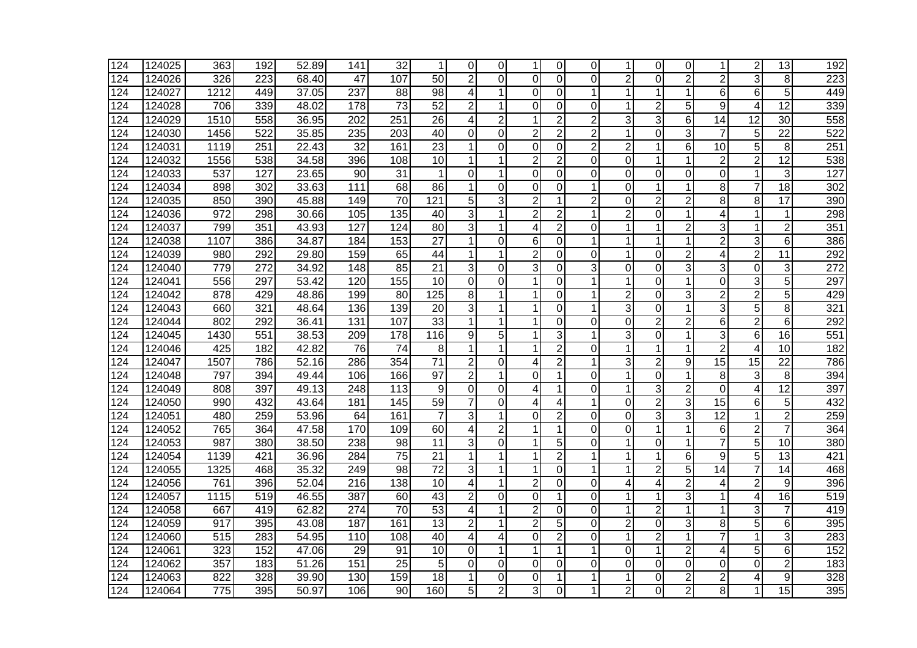| 124 | 124025 | 363  | 192 | 52.89               | 141              | 32              | 1               | $\Omega$       | 0              | 1              | 0              | $\Omega$       | 1              | 0              | 0                | 1                       | $\overline{2}$ | 13              | 192 |
|-----|--------|------|-----|---------------------|------------------|-----------------|-----------------|----------------|----------------|----------------|----------------|----------------|----------------|----------------|------------------|-------------------------|----------------|-----------------|-----|
| 124 | 124026 | 326  | 223 | 68.40               | 47               | 107             | 50              | $\overline{2}$ | $\Omega$       | 0              | 0              | $\Omega$       | $\overline{2}$ | $\Omega$       | $\overline{2}$   | $\overline{2}$          | 3              | 8               | 223 |
| 124 | 124027 | 1212 | 449 | 37.05               | 237              | 88              | 98              | 4              |                | $\mathbf 0$    | 0              | 1              | 1              | 1              | 1                | 6                       | 6              | 5               | 449 |
| 124 | 124028 | 706  | 339 | 48.02               | 178              | $\overline{73}$ | $\overline{52}$ | $\overline{2}$ | 1              | $\Omega$       | 0              | 0              | 1              | $\overline{2}$ | 5                | 9                       | 4              | $\overline{12}$ | 339 |
| 124 | 124029 | 1510 | 558 | 36.95               | 202              | 251             | 26              | 4              | $\overline{2}$ | 1              | $\overline{2}$ | 2              | 3              | 3              | 6                | $\overline{14}$         | 12             | 30              | 558 |
| 124 | 124030 | 1456 | 522 | 35.85               | 235              | 203             | 40              | 0              | $\Omega$       | $\overline{2}$ | $\overline{2}$ | 2              | 1              | 0              | 3                | 7                       | 5              | $\overline{22}$ | 522 |
| 124 | 124031 | 1119 | 251 | $\overline{2}$ 2.43 | $\overline{32}$  | 161             | 23              | 1              | $\Omega$       | $\Omega$       | 0              | $\overline{2}$ | $\overline{2}$ | 1              | 6                | 10                      | 5              | 8               | 251 |
| 124 | 124032 | 1556 | 538 | 34.58               | 396              | 108             | $\overline{10}$ | 1              | 1              | $\overline{2}$ | $\overline{2}$ | 0              | $\mathbf 0$    | 1              | 1                | $\overline{2}$          | $\overline{2}$ | $\overline{12}$ | 538 |
| 124 | 124033 | 537  | 127 | 23.65               | 90               | $\overline{31}$ | $\mathbf 1$     | 0              | 1              | $\overline{0}$ | $\overline{0}$ | 0              | $\overline{0}$ | $\overline{0}$ | $\overline{0}$   | $\overline{\mathsf{o}}$ | $\mathbf{1}$   | $\overline{3}$  | 127 |
| 124 | 124034 | 898  | 302 | 33.63               | $\overline{111}$ | 68              | 86              | 1              | 0              | 0              | 0              | 1              | $\overline{0}$ | 1              | $\mathbf 1$      | $\overline{8}$          | $\overline{7}$ | 18              | 302 |
| 124 | 124035 | 850  | 390 | 45.88               | 149              | $\overline{70}$ | 121             | 5              | 3              | $\overline{2}$ | 1              | $\overline{2}$ | $\Omega$       | $\overline{2}$ | $\overline{2}$   | 8                       | 8              | $\overline{17}$ | 390 |
| 124 | 124036 | 972  | 298 | 30.66               | 105              | 135             | 40              | 3              | 1              | $\overline{2}$ | 2              | 1              | $\overline{2}$ | 0              | 1                | 4                       | 1              | 1               | 298 |
| 124 | 124037 | 799  | 351 | 43.93               | 127              | 124             | 80              | 3              | 1              | $\overline{4}$ | $\overline{2}$ | 0              | 1              | 1              | $\overline{2}$   | 3                       | 1              | $\sqrt{2}$      | 351 |
| 124 | 124038 | 1107 | 386 | 34.87               | 184              | 153             | 27              | 1              | 0              | 6              | 0              | 1              | 1              | 1              | 1                | $\overline{2}$          | 3              | 6               | 386 |
| 124 | 124039 | 980  | 292 | 29.80               | 159              | 65              | 44              | 1              | 1              | $\overline{2}$ | 0              | 0              | 1              | 0              | $\overline{c}$   | 4                       | $\overline{2}$ | 11              | 292 |
| 124 | 124040 | 779  | 272 | 34.92               | 148              | 85              | 21              | 3              | $\Omega$       | 3              | 0              | 3              | $\mathbf 0$    | 0              | 3                | 3                       | $\mathbf 0$    | 3               | 272 |
| 124 | 124041 | 556  | 297 | 53.42               | 120              | 155             | 10              | $\mathbf 0$    | $\mathbf 0$    | $\mathbf{1}$   | 0              |                | $\mathbf{1}$   | $\overline{0}$ | $\mathbf{1}$     | 0                       | 3              | 5               | 297 |
| 124 | 124042 | 878  | 429 | 48.86               | 199              | 80              | 125             | 8              | 1              | 1              | $\Omega$       | 1              | $\overline{2}$ | $\Omega$       | 3                | $\overline{2}$          | $\overline{2}$ | 5               | 429 |
| 124 | 124043 | 660  | 321 | 48.64               | 136              | 139             | $\overline{20}$ | 3              | 1              | 1              | 0              | 1              | 3              | 0              | $\mathbf 1$      | 3                       | 5              | 8               | 321 |
| 124 | 124044 | 802  | 292 | 36.41               | 131              | 107             | $\overline{33}$ | 1              | 1              | 1              | 0              | 0              | $\Omega$       | $\overline{2}$ | $\overline{c}$   | 6                       | $\overline{2}$ | 6               | 292 |
| 124 | 124045 | 1430 | 551 | 38.53               | 209              | 178             | 116             | 9              | 5              |                | 3              |                | 3              | 0              | 1                | 3                       | 6              | 16              | 551 |
| 124 | 124046 | 425  | 182 | 42.82               | 76               | 74              | 8               | 1              |                | 1              | 2              | 0              | 1              | 1              | 1                | $\overline{2}$          | 4              | 10              | 182 |
| 124 | 124047 | 1507 | 786 | 52.16               | 286              | 354             | 71              | $\overline{2}$ | $\Omega$       | 4              | $\overline{2}$ | 1              | 3              | $\overline{2}$ | $\boldsymbol{9}$ | $\overline{15}$         | 15             | $\overline{22}$ | 786 |
| 124 | 124048 | 797  | 394 | 49.44               | 106              | 166             | 97              | $\overline{c}$ |                | $\Omega$       | 1              | 0              | $\mathbf{1}$   | $\overline{0}$ | $\mathbf{1}$     | 8                       | 3              | 8               | 394 |
| 124 | 124049 | 808  | 397 | 49.13               | 248              | 113             | 9               | 0              | $\mathbf 0$    | $\overline{4}$ |                | 0              | $\mathbf{1}$   | 3              | $\overline{2}$   | $\overline{0}$          | 4              | $\overline{12}$ | 397 |
| 124 | 124050 | 990  | 432 | 43.64               | 181              | 145             | 59              | $\overline{7}$ | $\Omega$       | 4              | 4              | 1              | $\Omega$       | $\overline{c}$ | 3                | 15                      | 6              | 5               | 432 |
| 124 | 124051 | 480  | 259 | 53.96               | 64               | 161             | $\overline{7}$  | 3              | 1              | 0              | $\overline{2}$ | 0              | 0              | 3              | 3                | $\overline{12}$         | 1              | $\overline{2}$  | 259 |
| 124 | 124052 | 765  | 364 | 47.58               | 170              | 109             | 60              | 4              | $\overline{c}$ | $\mathbf 1$    | 1              | 0              | 0              | 1              | 1                | 6                       | $\overline{c}$ | $\overline{7}$  | 364 |
| 124 | 124053 | 987  | 380 | 38.50               | 238              | 98              | 11              | 3              | 0              |                | 5              | 0              | 1              | 0              | 1                | 7                       | 5              | 10              | 380 |
| 124 | 124054 | 1139 | 421 | 36.96               | 284              | $\overline{75}$ | 21              | 1              |                | 1              | $\overline{2}$ | 1              | 1              | 1              | 6                | 9                       | 5              | 13              | 421 |
| 124 | 124055 | 1325 | 468 | 35.32               | 249              | 98              | $\overline{72}$ | 3              |                | 1              | 0              | 1              | 1              | $\overline{2}$ | $\overline{5}$   | 14                      | $\overline{7}$ | 14              | 468 |
| 124 | 124056 | 761  | 396 | 52.04               | 216              | 138             | 10              | 4              | 1              | $\overline{c}$ | 0              | $\Omega$       | $\overline{4}$ | 4              | $\overline{c}$   | 4                       | $\overline{2}$ | 9               | 396 |
| 124 | 124057 | 1115 | 519 | 46.55               | 387              | 60              | 43              | $\overline{2}$ | 0              | $\Omega$       | 1              | 0              | 1              | 1              | 3                | 1                       | 4              | 16              | 519 |
| 124 | 124058 | 667  | 419 | 62.82               | 274              | 70              | 53              | 4              | 1              | $\overline{2}$ | 0              | 0              | 1              | $\overline{2}$ | $\mathbf{1}$     | 1                       | 3              | $\overline{7}$  | 419 |
| 124 | 124059 | 917  | 395 | 43.08               | 187              | 161             | $\overline{13}$ | $\overline{2}$ | 1              | $\overline{2}$ | 5              | 0              | $\overline{2}$ | 0              | 3                | 8                       | 5              | 6               | 395 |
| 124 | 124060 | 515  | 283 | 54.95               | 110              | 108             | 40              | 4              | 4              | $\Omega$       | $\overline{2}$ | 0              | 1              | $\overline{2}$ | 1                | 7                       | 1              | 3               | 283 |
| 124 | 124061 | 323  | 152 | 47.06               | 29               | $\overline{91}$ | $\overline{10}$ | $\Omega$       |                | 1              |                | 1              | 0              | 1              | $\overline{2}$   | 4                       | 5              | 6               | 152 |
| 124 | 124062 | 357  | 183 | $\overline{5}1.26$  | 151              | $\overline{25}$ | 5               | $\Omega$       | $\Omega$       | $\Omega$       | 0              | 0              | $\Omega$       | O              | $\overline{0}$   | $\overline{0}$          | $\Omega$       | $\overline{2}$  | 183 |
| 124 | 124063 | 822  | 328 | 39.90               | 130              | 159             | 18              |                | 0              | 0              |                |                | 1              | 0              | $\overline{c}$   | $\overline{2}$          | 4              | 9               | 328 |
| 124 | 124064 | 775  | 395 | 50.97               | 106              | 90              | 160             | 5              | $\overline{2}$ | 3              | 0              | 1              | $\overline{2}$ | 0              | $\overline{2}$   | $\overline{8}$          | 1              | $\overline{15}$ | 395 |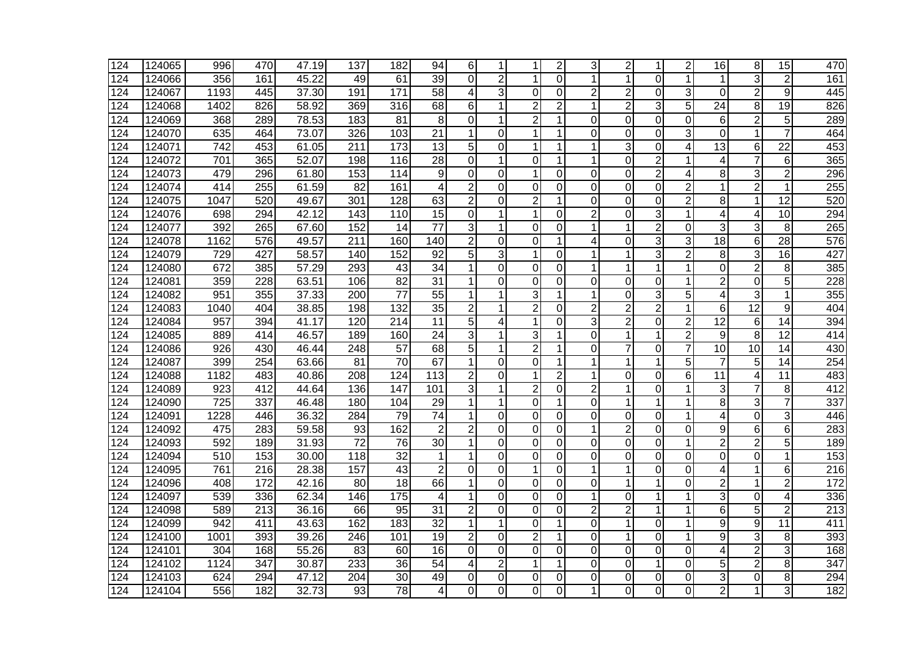| 124 | 124065 | 996  | 470              | 47.19              | 137             | 182             | 94               | 6                       |                | 1              | 2              | 3              | $\overline{2}$ | 1              | $\overline{c}$ | 16              | 8               | 15              | 470              |
|-----|--------|------|------------------|--------------------|-----------------|-----------------|------------------|-------------------------|----------------|----------------|----------------|----------------|----------------|----------------|----------------|-----------------|-----------------|-----------------|------------------|
| 124 | 124066 | 356  | 161              | 45.22              | 49              | 61              | $\overline{39}$  | $\Omega$                | 2              | 1              | $\Omega$       |                | 1              | 0              | 1              | 1               | 3               | $\overline{2}$  | 161              |
| 124 | 124067 | 1193 | 445              | 37.30              | 191             | 171             | 58               | 4                       | 3              | $\Omega$       | $\Omega$       | $\overline{2}$ | 2              | 0              | 3              | $\Omega$        | $\overline{2}$  | 9               | 445              |
| 124 | 124068 | 1402 | 826              | 58.92              | 369             | 316             | 68               | 6                       |                | $\overline{2}$ | 2              | 1              | $\overline{2}$ | 3              | 5              | $\overline{24}$ | 8               | 19              | 826              |
| 124 | 124069 | 368  | 289              | 78.53              | 183             | 81              | 8                | $\overline{0}$          | -1             | $\overline{2}$ | 1              | 0              | $\Omega$       | 0              | $\overline{0}$ | 6               | $\overline{2}$  | 5               | 289              |
| 124 | 124070 | 635  | 464              | 73.07              | 326             | 103             | 21               | 1                       | $\Omega$       | 1              | 1              | 0              | 0              | 0              | 3              | 0               | 1               | 7               | 464              |
| 124 | 124071 | 742  | 453              | 61.05              | 211             | 173             | 13               | 5                       | 0              |                |                |                | 3              | 0              | 4              | $\overline{13}$ | 6               | 22              | 453              |
| 124 | 124072 | 701  | 365              | 52.07              | 198             | 116             | $\overline{28}$  | $\mathbf 0$             | 1              | $\Omega$       | 1              |                | 0              | $\overline{2}$ | 1              | 4               | 7               | 6               | 365              |
| 124 | 124073 | 479  | 296              | 61.80              | 153             | 114             | 9                | $\overline{0}$          | $\overline{0}$ | $\mathbf 1$    | $\Omega$       | $\Omega$       | $\overline{0}$ | $\overline{2}$ | 4              | $\overline{8}$  | 3               | $\overline{2}$  | 296              |
| 124 | 124074 | 414  | $\overline{255}$ | 61.59              | $\overline{82}$ | 161             | 4                | $\overline{2}$          | $\Omega$       | $\Omega$       | $\Omega$       | 0              | $\overline{0}$ | $\overline{0}$ | $\overline{2}$ | $\mathbf{1}$    | $\overline{2}$  | $\mathbf 1$     | 255              |
| 124 | 124075 | 1047 | 520              | 49.67              | 301             | 128             | 63               | $\overline{2}$          | $\Omega$       | $\overline{2}$ |                | $\Omega$       | $\overline{0}$ | 0              | $\overline{2}$ | 8               | 1               | $\overline{12}$ | 520              |
| 124 | 124076 | 698  | 294              | 42.12              | 143             | 110             | 15               | $\overline{0}$          | 1              | 1              | $\Omega$       | $\overline{2}$ | $\overline{0}$ | 3              | 1              | 4               | 4               | 10              | 294              |
| 124 | 124077 | 392  | 265              | 67.60              | 152             | 14              | 77               | 3                       | 1              | $\Omega$       | $\Omega$       |                | 1              | $\overline{c}$ | $\Omega$       | 3               | 3               | 8               | 265              |
| 124 | 124078 | 1162 | 576              | 49.57              | 211             | 160             | 140              | $\mathbf{2}$            | 0              | $\Omega$       |                | 4              | 0              | 3              | 3              | $\overline{18}$ | 6               | $\overline{28}$ | 576              |
| 124 | 124079 | 729  | 427              | 58.57              | 140             | 152             | 92               | 5                       | 3              | 1              | $\Omega$       |                | 1              | 3              | $\overline{2}$ | 8               | 3               | 16              | 427              |
| 124 | 124080 | 672  | 385              | 57.29              | 293             | 43              | 34               | 1                       | 0              | $\overline{0}$ | 0              |                | 1              | 1              | 1              | $\mathbf 0$     | $\overline{2}$  | 8               | 385              |
| 124 | 124081 | 359  | 228              | 63.51              | 106             | 82              | 31               | $\mathbf{1}$            | $\Omega$       | 0              | 0              | 0              | 0              | 0              | 1              | $\overline{2}$  | $\mathbf 0$     | 5               | 228              |
| 124 | 124082 | 951  | 355              | 37.33              | 200             | $\overline{77}$ | 55               | $\mathbf{1}$            |                | 3              |                |                | $\Omega$       | 3              | 5              | 4               | 3               | 1               | 355              |
| 124 | 124083 | 1040 | 404              | 38.85              | 198             | 132             | 35               | $\overline{2}$          | 1              | $\overline{2}$ | 0              | $\overline{2}$ | 2              | $\overline{2}$ | 1              | 6               | $\overline{12}$ | 9               | 404              |
| 124 | 124084 | 957  | 394              | 41.17              | 120             | 214             | 11               | 5                       | 4              | 1              | $\Omega$       | 3              | $\overline{c}$ | 0              | $\overline{2}$ | $\overline{12}$ | 6               | 14              | 394              |
| 124 | 124085 | 889  | 414              | 46.57              | 189             | 160             | 24               | 3                       |                | 3              |                | 0              | 1              | 1              | $\overline{2}$ | 9               | 8               | 12              | 414              |
| 124 | 124086 | 926  | 430              | 46.44              | 248             | $\overline{57}$ | 68               | 5                       |                | $\overline{2}$ |                | $\Omega$       | 7              | 0              | 7              | 10              | 10              | 14              | 430              |
| 124 | 124087 | 399  | 254              | 63.66              | 81              | $\overline{70}$ | 67               | $\mathbf{1}$            | $\mathbf 0$    | 0              | 1              |                | 1              | 1              | 5              | $\overline{7}$  | 5               | 14              | 254              |
| 124 | 124088 | 1182 | 483              | 40.86              | 208             | 124             | $\overline{113}$ | $\overline{c}$          | $\Omega$       | 1              | $\overline{2}$ |                | $\overline{0}$ | $\overline{0}$ | 6              | $\overline{11}$ | 4               | 11              | 483              |
| 124 | 124089 | 923  | $\overline{412}$ | 44.64              | 136             | 147             | 101              | 3                       |                | $\overline{2}$ | $\Omega$       | $\overline{2}$ | 1              | 0              | 1              | 3               | 7               | 8               | 412              |
| 124 | 124090 | 725  | 337              | 46.48              | 180             | 104             | 29               | $\mathbf 1$             |                | $\Omega$       |                | 0              | 1              | 1              | 1              | 8               | 3               | 7               | 337              |
| 124 | 124091 | 1228 | 446              | 36.32              | 284             | 79              | $\overline{74}$  | $\mathbf 1$             | $\Omega$       | $\overline{O}$ | 0              | 0              | 0              | 0              | 1              | 4               | 0               | 3               | 446              |
| 124 | 124092 | 475  | 283              | 59.58              | 93              | 162             | $\overline{2}$   | $\overline{2}$          | $\Omega$       | $\Omega$       | $\Omega$       | 1              | 2              | 0              | $\overline{0}$ | 9               | 6               | 6               | 283              |
| 124 | 124093 | 592  | 189              | 31.93              | 72              | 76              | 30               | 1                       | $\Omega$       | $\Omega$       | $\mathbf{0}$   | 0              | 0              | 0              | 1              | $\overline{2}$  | $\overline{2}$  | 5               | 189              |
| 124 | 124094 | 510  | 153              | 30.00              | 118             | 32              | 1                | 1                       | 0              | $\Omega$       | 0              | 0              | $\Omega$       | 0              | 0              | 0               | 0               | 1               | 153              |
| 124 | 124095 | 761  | 216              | 28.38              | 157             | $\overline{43}$ | $\overline{2}$   | 0                       | $\overline{0}$ | $\mathbf{1}$   | $\Omega$       |                | 1              | 0              | $\overline{0}$ | 4               | 1               | 6               | $\overline{216}$ |
| 124 | 124096 | 408  | 172              | 42.16              | 80              | $\overline{18}$ | 66               | 1                       | $\Omega$       | $\overline{O}$ | $\Omega$       | $\Omega$       | 1              | 1              | $\Omega$       | $\overline{c}$  | 1               | $\overline{2}$  | 172              |
| 124 | 124097 | 539  | 336              | 62.34              | 146             | 175             | 4                | 1                       | $\Omega$       | 0              | $\Omega$       |                | $\overline{0}$ | 1              | 1              | 3               | $\overline{0}$  | 4               | 336              |
| 124 | 124098 | 589  | 213              | 36.16              | 66              | 95              | 31               | $\overline{2}$          | $\Omega$       | $\Omega$       | $\Omega$       | $\overline{2}$ | $\overline{2}$ | 1              | 1              | 6               | 5               | $\overline{2}$  | $\overline{213}$ |
| 124 | 124099 | 942  | 411              | 43.63              | 162             | 183             | $\overline{32}$  | $\mathbf{1}$            |                | $\Omega$       | 1              | $\Omega$       | 1              | $\Omega$       | 1              | $\overline{9}$  | 9               | $\overline{11}$ | 411              |
| 124 | 124100 | 1001 | 393              | 39.26              | 246             | 101             | $\overline{19}$  | $\overline{\mathbf{c}}$ | $\Omega$       | 2              | 1              | 0              | 1              | 0              | 1              | 9               | 3               | 8               | 393              |
| 124 | 124101 | 304  | 168              | 55.26              | 83              | 60              | 16               | 0                       | $\Omega$       | $\Omega$       | 0              | 0              | $\Omega$       | 0              | $\Omega$       | 4               | 2               | 3               | 168              |
| 124 | 124102 | 1124 | $\overline{347}$ | 30.87              | 233             | 36              | $\overline{54}$  | 4                       | 2              | 1              | 1              | $\Omega$       | 0              | 1              | $\Omega$       | 5               | $\overline{2}$  | 8               | 347              |
| 124 | 124103 | 624  | 294              | $\overline{47.12}$ | 204             | $\overline{30}$ | 49               | $\overline{0}$          | 0              | $\overline{0}$ | 0              | 0              | 0              | 0              | $\Omega$       | 3               | 0               | 8               | 294              |
| 124 | 124104 | 556  | 182              | 32.73              | 93              | 78              | 4                | $\Omega$                | $\Omega$       | $\overline{O}$ | $\Omega$       | 1              | 0              | 0              | 0              | $\overline{2}$  | 1               | 3               | 182              |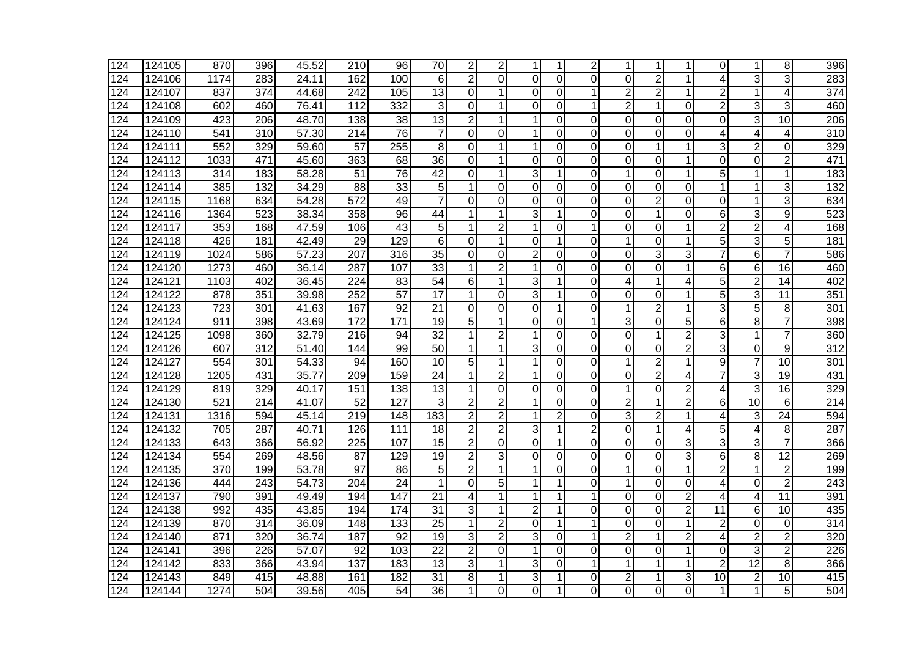| 124              | 124105 | 870              | 396 | 45.52              | 210              | 96              | 70              | $\overline{2}$          | 2              | 1              |                | 2              | 1              | 1              | 1              | $\overline{0}$ | 1                       | 8               | 396              |
|------------------|--------|------------------|-----|--------------------|------------------|-----------------|-----------------|-------------------------|----------------|----------------|----------------|----------------|----------------|----------------|----------------|----------------|-------------------------|-----------------|------------------|
| 124              | 124106 | 1174             | 283 | 24.11              | 162              | 100             | 6               | $\overline{2}$          | $\Omega$       | $\Omega$       | $\Omega$       | $\Omega$       | $\Omega$       | $\overline{2}$ | 1              | 4              | 3                       | 3               | 283              |
| 124              | 124107 | 837              | 374 | 44.68              | 242              | 105             | 13              | 0                       |                | 0              | $\Omega$       |                | 2              | $\overline{2}$ | 1              | $\overline{2}$ | 1                       | 4               | 374              |
| 124              | 124108 | 602              | 460 | 76.41              | 112              | 332             | 3               | $\Omega$                |                | $\Omega$       | $\Omega$       | 1              | $\overline{2}$ | 1              | $\Omega$       | $\overline{2}$ | 3                       | 3               | 460              |
| 124              | 124109 | 423              | 206 | 48.70              | 138              | 38              | 13              | $\overline{2}$          | 1              | 1              | 0              | 0              | $\Omega$       | 0              | $\Omega$       | $\overline{0}$ | 3                       | 10              | 206              |
| 124              | 124110 | 541              | 310 | 57.30              | 214              | 76              | 7               | 0                       | 0              | 1              | 0              | 0              | 0              | 0              | 0              | 4              | 4                       | 4               | $\overline{310}$ |
| 124              | 124111 | 552              | 329 | 59.60              | $\overline{57}$  | 255             | 8               | $\Omega$                |                |                | $\Omega$       | 0              | $\Omega$       | 1              | 1              | 3              | $\overline{2}$          | $\Omega$        | 329              |
| 124              | 124112 | 1033             | 471 | 45.60              | 363              | 68              | 36              | $\Omega$                |                | $\Omega$       | $\Omega$       | 0              | 0              | $\mathbf 0$    | 1              | $\overline{0}$ | 0                       | $\overline{2}$  | 471              |
| 124              | 124113 | $\overline{314}$ | 183 | $\overline{58.28}$ | $\overline{51}$  | 76              | 42              | $\overline{0}$          |                | 3              |                | $\Omega$       | $\mathbf{1}$   | $\overline{0}$ | 1              | 5              | 1                       | $\mathbf 1$     | 183              |
| 124              | 124114 | 385              | 132 | 34.29              | $\overline{88}$  | $\overline{33}$ | 5               | $\mathbf{1}$            | 0              | 0              | $\Omega$       | 0              | 0              | 0              | 0              | $\overline{1}$ | 1                       | 3               | 132              |
| 124              | 124115 | 1168             | 634 | 54.28              | $\overline{572}$ | 49              | $\overline{7}$  | $\Omega$                | $\Omega$       | $\Omega$       | $\Omega$       | $\Omega$       | $\Omega$       | $\overline{2}$ | $\Omega$       | $\overline{0}$ | 1                       | 3               | 634              |
| 124              | 124116 | 1364             | 523 | 38.34              | 358              | 96              | 44              | $\mathbf 1$             | 1              | 3              | 1              | $\Omega$       | 0              | 1              | $\Omega$       | 6              | 3                       | 9               | 523              |
| 124              | 124117 | 353              | 168 | 47.59              | 106              | 43              | 5               | 1                       | 2              | $\mathbf{1}$   | 0              |                | 0              | 0              | 1              | 2              | $\overline{c}$          | 4               | 168              |
| 124              | 124118 | 426              | 181 | 42.49              | 29               | 129             | 6               | 0                       | 1              | 0              | 1              | 0              | 1              | 0              | 1              | 5              | 3                       | 5               | 181              |
| 124              | 124119 | 1024             | 586 | 57.23              | 207              | 316             | 35              | $\Omega$                | $\Omega$       | $\overline{2}$ | $\mathbf{0}$   | 0              | $\mathbf 0$    | 3              | 3              | $\overline{7}$ | 6                       | $\overline{7}$  | 586              |
| 124              | 124120 | 1273             | 460 | 36.14              | 287              | 107             | 33              | 1                       | $\overline{2}$ | 1              | $\Omega$       | $\Omega$       | $\overline{0}$ | 0              | 1              | 6              | 6                       | 16              | 460              |
| 124              | 124121 | 1103             | 402 | 36.45              | 224              | 83              | $\overline{54}$ | 6                       | 1              | 3              | 1              | 0              | 4              | 1              | $\overline{4}$ | 5              | $\overline{2}$          | 14              | 402              |
| 124              | 124122 | 878              | 351 | 39.98              | 252              | $\overline{57}$ | 17              | 1                       | $\Omega$       | 3              |                | $\Omega$       | $\Omega$       | 0              | 1              | $\overline{5}$ | 3                       | 11              | 351              |
| 124              | 124123 | 723              | 301 | 41.63              | 167              | 92              | $\overline{21}$ | $\overline{0}$          | $\Omega$       | 0              | 1              | $\Omega$       | 1              | $\overline{2}$ | 1              | $\overline{3}$ | 5                       | 8               | 301              |
| 124              | 124124 | 911              | 398 | 43.69              | $\overline{172}$ | 171             | 19              | 5                       |                | $\Omega$       | $\Omega$       | 1              | 3              | 0              | 5              | 6              | 8                       | 7               | 398              |
| 124              | 124125 | 1098             | 360 | 32.79              | 216              | 94              | 32              | 1                       | 2              | 1              | 0              | 0              | 0              | 1              | 2              | 3              | 1                       | 7               | 360              |
| 124              | 124126 | 607              | 312 | 51.40              | 144              | 99              | 50              | 1                       |                | 3              | 0              | 0              | $\Omega$       | 0              | $\overline{2}$ | 3              | 0                       | 9               | 312              |
| 124              | 124127 | 554              | 301 | 54.33              | 94               | 160             | 10              | 5                       |                | $\mathbf{1}$   | $\Omega$       | 0              | 1              | $\overline{2}$ | 1              | 9              | $\overline{7}$          | 10              | 301              |
| 124              | 124128 | 1205             | 431 | 35.77              | 209              | 159             | 24              | $\mathbf{1}$            | $\overline{2}$ | $\mathbf 1$    | $\Omega$       | 0              | 0              | $\overline{c}$ | 4              | 7              | 3                       | 19              | 431              |
| 124              | 124129 | 819              | 329 | 40.17              | 151              | 138             | $\overline{13}$ | $\mathbf{1}$            | $\overline{0}$ | 0              | $\mathbf{0}$   | 0              | 1              | 0              | $\overline{2}$ | 4              | $\overline{3}$          | $\overline{16}$ | 329              |
| 124              | 124130 | 521              | 214 | 41.07              | 52               | 127             | 3               | $\overline{2}$          | $\overline{2}$ | 1              | $\Omega$       | 0              | $\overline{2}$ | 1              | $\overline{2}$ | 6              | 10                      | 6               | 214              |
| 124              | 124131 | 1316             | 594 | 45.14              | 219              | 148             | 183             | $\overline{2}$          | $\overline{2}$ | 1              | $\overline{2}$ | 0              | 3              | $\overline{2}$ | 1              | 4              | 3                       | $\overline{24}$ | 594              |
| 124              | 124132 | 705              | 287 | 40.71              | 126              | 111             | 18              | $\overline{\mathbf{c}}$ | $\overline{c}$ | 3              | 1              | $\overline{2}$ | 0              | 1              | 4              | 5              | 4                       | 8               | 287              |
| 124              | 124133 | 643              | 366 | 56.92              | 225              | 107             | $\overline{15}$ | $\overline{c}$          | 0              | 0              |                | 0              | 0              | 0              | 3              | 3              | 3                       | $\overline{7}$  | 366              |
| 124              | 124134 | 554              | 269 | 48.56              | 87               | 129             | 19              | $\overline{2}$          | 3              | $\Omega$       | 0              | 0              | $\mathbf 0$    | $\mathbf 0$    | 3              | 6              | 8                       | 12              | 269              |
| 124              | 124135 | 370              | 199 | 53.78              | $\overline{97}$  | 86              | 5               | $\overline{2}$          |                | 1              | $\mathbf{0}$   | 0              | $\mathbf{1}$   | 0              | 1              | $\overline{c}$ | 1                       | $\overline{2}$  | 199              |
| 124              | 124136 | 444              | 243 | 54.73              | 204              | $\overline{24}$ | $\mathbf 1$     | 0                       | 5              | $\mathbf{1}$   | 1              | 0              | $\mathbf{1}$   | 0              | $\Omega$       | 4              | $\overline{0}$          | $\overline{2}$  | 243              |
| 124              | 124137 | 790              | 391 | 49.49              | 194              | 147             | 21              | 4                       | 1              | 1              | 1              | 1              | $\Omega$       | 0              | $\overline{2}$ | 4              | 4                       | 11              | 391              |
| 124              | 124138 | 992              | 435 | 43.85              | 194              | 174             | 31              | 3                       | $\mathbf{1}$   | $\overline{2}$ | 1              | $\Omega$       | $\overline{0}$ | 0              | $\overline{2}$ | 11             | 6                       | 10              | 435              |
| 124              | 124139 | 870              | 314 | 36.09              | 148              | 133             | $\overline{25}$ | $\mathbf{1}$            | $\overline{2}$ | $\Omega$       | 1              |                | 0              | 0              | 1              | 2              | 0                       | $\Omega$        | $\overline{314}$ |
| 124              | 124140 | 871              | 320 | 36.74              | 187              | $\overline{92}$ | $\overline{19}$ | 3                       | $\overline{2}$ | 3              | 0              |                | 2              | 1              | 2              | 4              | $\overline{2}$          | $\overline{2}$  | 320              |
| 124              | 124141 | 396              | 226 | 57.07              | $\overline{92}$  | 103             | $\overline{22}$ | $\mathbf 2$             | $\Omega$       | 1              | 0              | 0              | 0              | $\mathbf 0$    | 1              | $\overline{0}$ | 3                       | $\overline{c}$  | 226              |
| 124              | 124142 | 833              | 366 | 43.94              | 137              | 183             | 13              | $\overline{3}$          |                | 3              | $\Omega$       |                | 1              | 1              | 1              | $\overline{2}$ | $\overline{12}$         | $\overline{8}$  | 366              |
| 124              | 124143 | 849              | 415 | 48.88              | 161              | 182             | $\overline{31}$ | 8                       |                | 3              |                | 0              | $\overline{c}$ | 1              | 3              | 10             | $\overline{\mathbf{c}}$ | 10              | 415              |
| $\overline{124}$ | 124144 | 1274             | 504 | 39.56              | 405              | 54              | $\overline{36}$ | $\mathbf{1}$            | 0              | $\Omega$       | 1              | 0              | 0              | 0              | $\Omega$       | 1              | 1                       | 5               | 504              |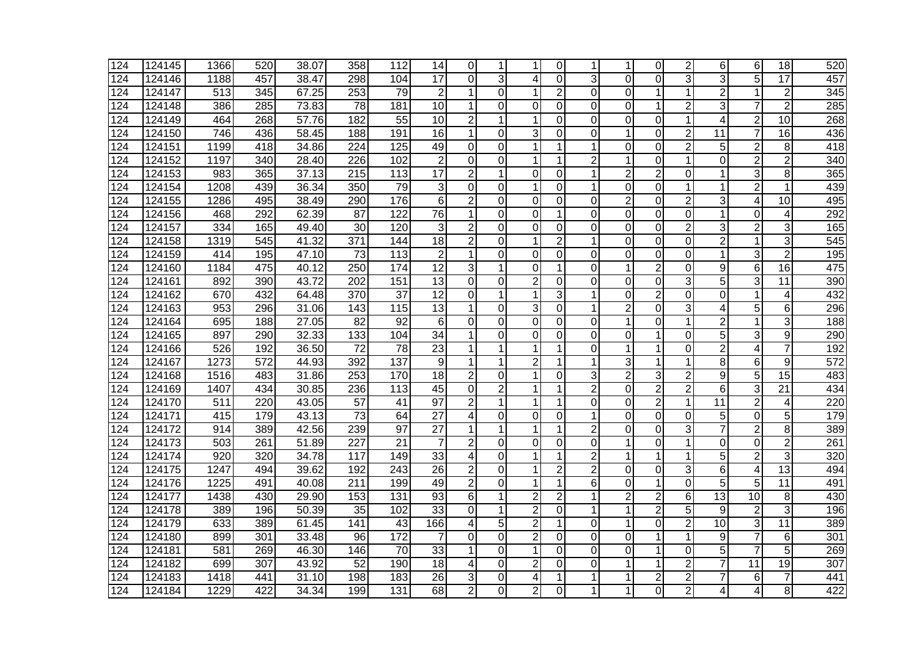| 124 | 124145 | 1366 | 520 | 38.07 | 358              | 112              | 14              | $\Omega$                |                | 1              | 0              | 1              | 1              | 0              | $\overline{2}$ | 6                       | 6              | 18              | 520              |
|-----|--------|------|-----|-------|------------------|------------------|-----------------|-------------------------|----------------|----------------|----------------|----------------|----------------|----------------|----------------|-------------------------|----------------|-----------------|------------------|
| 124 | 124146 | 1188 | 457 | 38.47 | 298              | 104              | $\overline{17}$ | 0                       | 3              | 4              | 0              | 3              | $\overline{0}$ | $\mathbf 0$    | 3              | $\overline{3}$          | 5              | $\overline{17}$ | 457              |
| 124 | 124147 | 513  | 345 | 67.25 | 253              | 79               | $\overline{2}$  | 1                       | $\Omega$       | $\mathbf 1$    | $\overline{2}$ | 0              | $\Omega$       | 1              | 1              | $\overline{2}$          | 1              | $\overline{2}$  | 345              |
| 124 | 124148 | 386  | 285 | 73.83 | 78               | 181              | 10              | 1                       | $\Omega$       | $\Omega$       | 0              | 0              | 0              | 1              | $\overline{2}$ | 3                       | $\overline{7}$ | $\overline{2}$  | 285              |
| 124 | 124149 | 464  | 268 | 57.76 | 182              | 55               | 10              | 2                       | 1              | 1              | 0              | 0              | 0              | 0              | 1              | 4                       | $\overline{2}$ | 10              | 268              |
| 124 | 124150 | 746  | 436 | 58.45 | 188              | 191              | $\overline{16}$ | 1                       | $\Omega$       | 3              | 0              | 0              | 1              | 0              | $\overline{2}$ | 11                      | 7              | 16              | 436              |
| 124 | 124151 | 1199 | 418 | 34.86 | 224              | 125              | 49              | 0                       | $\Omega$       | $\mathbf 1$    |                |                | 0              | 0              | $\overline{c}$ | 5                       | $\overline{c}$ | 8               | 418              |
| 124 | 124152 | 1197 | 340 | 28.40 | 226              | 102              | $\overline{2}$  | $\mathbf 0$             | 0              | 1              | 1              | 2              | $\mathbf{1}$   | 0              | $\mathbf{1}$   | $\overline{\mathsf{o}}$ | $\overline{2}$ | $\overline{2}$  | 340              |
| 124 | 124153 | 983  | 365 | 37.13 | $\overline{215}$ | $\overline{113}$ | $\overline{17}$ | $\overline{\mathbf{c}}$ | 1              | 0              | $\Omega$       |                | $\overline{2}$ | $\overline{2}$ | 0              | 1                       | 3              | 8               | 365              |
| 124 | 124154 | 1208 | 439 | 36.34 | 350              | 79               | 3               | 0                       | $\Omega$       | 1              | 0              | 1              | $\overline{0}$ | $\overline{0}$ | 1              | 1                       | $\overline{2}$ | 1               | 439              |
| 124 | 124155 | 1286 | 495 | 38.49 | 290              | 176              | 6               | $\overline{2}$          | 0              | 0              | 0              | 0              | $\overline{2}$ | 0              | $\overline{2}$ | 3                       | 4              | 10              | 495              |
| 124 | 124156 | 468  | 292 | 62.39 | 87               | 122              | 76              | 1                       | $\Omega$       | 0              | 1              | 0              | $\mathbf 0$    | 0              | $\overline{0}$ | 1                       | 0              | 4               | 292              |
| 124 | 124157 | 334  | 165 | 49.40 | 30               | 120              | 3               | $\overline{c}$          | 0              | 0              | 0              | 0              | $\mathbf 0$    | 0              | $\overline{2}$ | 3                       | $\overline{2}$ | 3               | 165              |
| 124 | 124158 | 1319 | 545 | 41.32 | 371              | 144              | 18              | $\overline{2}$          | $\Omega$       | 1              | 2              | 1              | 0              | 0              | 0              | $\overline{c}$          | 1              | 3               | 545              |
| 124 | 124159 | 414  | 195 | 47.10 | $\overline{73}$  | 113              | $\overline{2}$  | 1                       | $\Omega$       | $\Omega$       | 0              | 0              | $\overline{0}$ | 0              | 0              | 1                       | 3              | $\overline{2}$  | 195              |
| 124 | 124160 | 1184 | 475 | 40.12 | 250              | 174              | 12              | 3                       |                | 0              | 1              | $\Omega$       | $\mathbf{1}$   | $\overline{c}$ | $\mathbf 0$    | 9                       | 6              | 16              | 475              |
| 124 | 124161 | 892  | 390 | 43.72 | 202              | 151              | 13              | 0                       | 0              | $\overline{2}$ | 0              | 0              | $\mathbf 0$    | 0              | 3              | 5                       | 3              | $\overline{11}$ | 390              |
| 124 | 124162 | 670  | 432 | 64.48 | 370              | 37               | 12              | $\Omega$                | 1              | 1              | 3              | 1              | $\Omega$       | $\overline{2}$ | 0              | 0                       | 1              | 4               | 432              |
| 124 | 124163 | 953  | 296 | 31.06 | 143              | 115              | 13              | 1                       | 0              | 3              | 0              | 1              | $\overline{2}$ | 0              | 3              | 4                       | 5              | 6               | 296              |
| 124 | 124164 | 695  | 188 | 27.05 | 82               | 92               | 6               | 0                       | $\Omega$       | 0              | 0              | 0              | 1              | 0              | $\mathbf{1}$   | $\overline{c}$          | 1              | 3               | 188              |
| 124 | 124165 | 897  | 290 | 32.33 | 133              | 104              | 34              | 1                       | $\mathbf 0$    | $\Omega$       | 0              | 0              | 0              | 1              | 0              | 5                       | 3              | 9               | 290              |
| 124 | 124166 | 526  | 192 | 36.50 | $\overline{72}$  | 78               | 23              | 1                       |                | $\mathbf 1$    |                | 0              | 1              | 1              | 0              | $\overline{c}$          | 4              | $\overline{7}$  | 192              |
| 124 | 124167 | 1273 | 572 | 44.93 | 392              | 137              | 9               | 1                       |                | $\overline{2}$ |                | 1              | 3              | 1              | $\mathbf 1$    | 8                       | 6              | 9               | 572              |
| 124 | 124168 | 1516 | 483 | 31.86 | 253              | 170              | 18              | $\overline{\mathbf{c}}$ | 0              | $\mathbf 1$    | 0              | 3              | $\overline{2}$ | 3              | $\overline{c}$ | 9                       | 5              | $\overline{15}$ | 483              |
| 124 | 124169 | 1407 | 434 | 30.85 | 236              | 113              | 45              | 0                       | 2              | 1              |                | $\overline{2}$ | $\overline{0}$ | $\overline{2}$ | $\overline{2}$ | 6                       | 3              | $\overline{21}$ | 434              |
| 124 | 124170 | 511  | 220 | 43.05 | 57               | 41               | $\overline{97}$ | $\overline{2}$          | 1              | $\mathbf{1}$   | 1              | 0              | $\Omega$       | $\overline{2}$ | 1              | $\overline{11}$         | $\overline{2}$ | 4               | 220              |
| 124 | 124171 | 415  | 179 | 43.13 | $\overline{73}$  | 64               | 27              | 4                       | 0              | 0              | 0              | 1              | 0              | 0              | 0              | 5                       | 0              | 5               | 179              |
| 124 | 124172 | 914  | 389 | 42.56 | 239              | 97               | 27              | 1                       | 1              | 1              | 1              | 2              | 0              | 0              | 3              | $\overline{7}$          | $\overline{c}$ | 8               | 389              |
| 124 | 124173 | 503  | 261 | 51.89 | 227              | 21               | 7               | $\overline{2}$          | 0              | 0              | 0              | 0              | 1              | 0              | 1              | 0                       | 0              | $\overline{2}$  | 261              |
| 124 | 124174 | 920  | 320 | 34.78 | 117              | 149              | 33              | 4                       | $\Omega$       | $\mathbf 1$    | 1              | $\overline{2}$ | 1              | 1              | 1              | 5                       | $\overline{2}$ | 3               | 320              |
| 124 | 124175 | 1247 | 494 | 39.62 | 192              | 243              | $\overline{26}$ | $\overline{2}$          | $\overline{0}$ | 1              | $\overline{2}$ | $\overline{2}$ | $\mathbf 0$    | $\overline{0}$ | 3              | 6                       | 4              | $\overline{13}$ | 494              |
| 124 | 124176 | 1225 | 491 | 40.08 | 211              | 199              | 49              | $\overline{c}$          | $\mathbf 0$    | 1              | 1              | 6              | $\overline{0}$ | 1              | $\overline{0}$ | $\overline{5}$          | 5              | 11              | 491              |
| 124 | 124177 | 1438 | 430 | 29.90 | 153              | 131              | 93              | 6                       | 1              | $\overline{2}$ | $\overline{2}$ | 1              | $\overline{2}$ | $\overline{2}$ | 6              | $\overline{13}$         | 10             | 8               | 430              |
| 124 | 124178 | 389  | 196 | 50.39 | 35               | 102              | 33              | 0                       | 1              | $\overline{2}$ | 0              | 1              | $\mathbf{1}$   | $\overline{2}$ | 5              | 9                       | $\overline{2}$ | 3               | 196              |
| 124 | 124179 | 633  | 389 | 61.45 | $\overline{141}$ | $\overline{43}$  | 166             | 4                       | 5              | $\overline{2}$ | 1              | 0              | 1              | 0              | $\overline{2}$ | 10                      | 3              | $\overline{11}$ | 389              |
| 124 | 124180 | 899  | 301 | 33.48 | 96               | $\overline{172}$ | 7               | 0                       | 0              | $\overline{2}$ | 0              | 0              | 0              | 1              | 1              | 9                       | 7              | 6               | $\overline{301}$ |
| 124 | 124181 | 581  | 269 | 46.30 | 146              | $\overline{70}$  | $\overline{33}$ | 1                       | $\Omega$       | 1              | 0              | 0              | 0              | 1              | $\Omega$       | 5                       | $\overline{7}$ | 5               | 269              |
| 124 | 124182 | 699  | 307 | 43.92 | 52               | 190              | 18              | 4                       | $\Omega$       | $\overline{2}$ | 0              | 0              | 1              | 1              | $\overline{c}$ | 7                       | 11             | 19              | 307              |
| 124 | 124183 | 1418 | 441 | 31.10 | 198              | 183              | $\overline{26}$ | 3                       | 0              | 4              |                |                | 1              | $\overline{c}$ | $\overline{2}$ | 7                       | 6              | 7               | 441              |
| 124 | 124184 | 1229 | 422 | 34.34 | 199              | 131              | $\overline{68}$ | $\overline{2}$          | $\Omega$       | $\overline{2}$ | 0              | 1              | 1              | 0              | $\overline{2}$ | 4                       | 4              | 8               | 422              |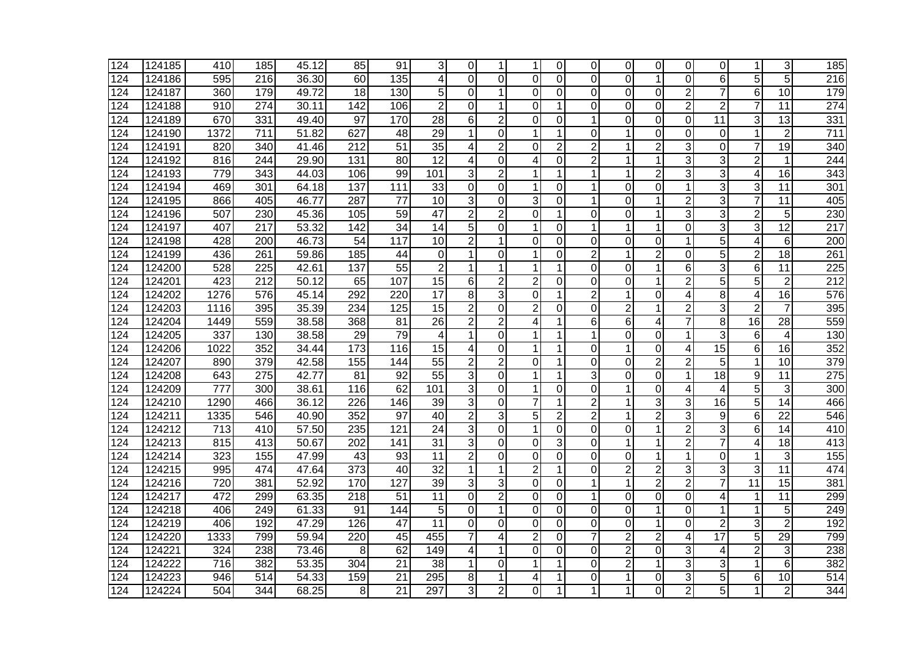| 124 | 124185 | 410  | 185              | 45.12              | 85               | 91               | 3               | 0              |                | 1              | 0              | 0              | 0              | 0              | 0              | 0               | 1               | 3               | 185              |
|-----|--------|------|------------------|--------------------|------------------|------------------|-----------------|----------------|----------------|----------------|----------------|----------------|----------------|----------------|----------------|-----------------|-----------------|-----------------|------------------|
| 124 | 124186 | 595  | 216              | 36.30              | 60               | 135              | 4               | 0              | $\Omega$       | 0              | $\Omega$       | $\Omega$       | $\overline{0}$ | 1              | 0              | 6               | 5               | 5               | 216              |
| 124 | 124187 | 360  | 179              | 49.72              | 18               | 130              | 5               | 0              |                | $\mathbf 0$    | 0              | 0              | $\mathbf 0$    | $\mathbf 0$    | $\overline{2}$ | $\overline{7}$  | 6               | 10              | 179              |
| 124 | 124188 | 910  | $\overline{274}$ | 30.11              | $\overline{142}$ | 106              | $\overline{2}$  | 0              |                | $\Omega$       |                | 0              | $\Omega$       | $\Omega$       | $\overline{2}$ | $\overline{2}$  | $\overline{7}$  | $\overline{11}$ | 274              |
| 124 | 124189 | 670  | 331              | 49.40              | $\overline{97}$  | 170              | $\overline{28}$ | 6              | $\overline{2}$ | 0              | 0              | 1              | 0              | 0              | $\overline{0}$ | $\overline{11}$ | 3               | $\overline{13}$ | 331              |
| 124 | 124190 | 1372 | 711              | 51.82              | 627              | 48               | $\overline{29}$ | 1              | $\Omega$       | $\mathbf 1$    | 1              | 0              | 1              | 0              | 0              | 0               | 1               | $\overline{2}$  | 711              |
| 124 | 124191 | 820  | 340              | 41.46              | $\overline{212}$ | $\overline{51}$  | $\overline{35}$ | 4              | $\overline{2}$ | $\Omega$       | $\overline{2}$ | 2              | 1              | $\overline{2}$ | 3              | 0               | 7               | $\overline{19}$ | 340              |
| 124 | 124192 | 816  | 244              | 29.90              | 131              | $\overline{80}$  | $\overline{12}$ | 4              | 0              | 4              | 0              | $\overline{2}$ | 1              | 1              | 3              | 3               | $\overline{2}$  | -1              | 244              |
| 124 | 124193 | 779  | 343              | 44.03              | 106              | 99               | 101             | 3              | $\overline{c}$ | 1              |                |                | 1              | $\overline{c}$ | $\overline{3}$ | 3               | 4               | 16              | 343              |
| 124 | 124194 | 469  | 301              | 64.18              | 137              | $\overline{111}$ | 33              | 0              | 0              | 1              | 0              |                | $\mathbf 0$    | 0              | $\mathbf{1}$   | 3               | 3               | $\overline{11}$ | $\overline{301}$ |
| 124 | 124195 | 866  | 405              | 46.77              | 287              | 77               | 10              | 3              | $\Omega$       | 3              | 0              | 1              | 0              | 1              | $\overline{2}$ | 3               | $\overline{7}$  | 11              | 405              |
| 124 | 124196 | 507  | 230              | 45.36              | 105              | 59               | 47              | $\overline{2}$ | $\overline{2}$ | 0              | 1              | 0              | 0              | 1              | 3              | 3               | $\overline{2}$  | 5               | 230              |
| 124 | 124197 | 407  | 217              | 53.32              | 142              | 34               | 14              | 5              | $\Omega$       | $\mathbf{1}$   | 0              | 1              | 1              | 1              | 0              | 3               | 3               | 12              | $\overline{217}$ |
| 124 | 124198 | 428  | 200              | 46.73              | 54               | 117              | 10              | $\overline{2}$ | 1              | $\Omega$       | 0              | 0              | 0              | 0              | 1              | 5               | 4               | 6               | 200              |
| 124 | 124199 | 436  | 261              | 59.86              | 185              | 44               | 0               | 1              | 0              | 1              | 0              | $\overline{2}$ | 1              | $\overline{c}$ | $\overline{0}$ | 5               | $\overline{c}$  | 18              | 261              |
| 124 | 124200 | 528  | $\overline{225}$ | 42.61              | 137              | 55               | $\overline{2}$  | 1              |                | 1              | 1              | 0              | $\overline{0}$ | 1              | $\overline{6}$ | 3               | $6\phantom{1}6$ | 11              | 225              |
| 124 | 124201 | 423  | 212              | 50.12              | 65               | 107              | 15              | 6              | $\overline{2}$ | $\overline{c}$ | 0              | 0              | $\overline{0}$ | 1              | $\overline{2}$ | 5               | 5               | $\overline{2}$  | 212              |
| 124 | 124202 | 1276 | 576              | 45.14              | 292              | 220              | 17              | 8              | 3              | $\Omega$       |                | $\overline{2}$ | 1              | $\mathbf 0$    | 4              | 8               | 4               | 16              | 576              |
| 124 | 124203 | 1116 | 395              | 35.39              | 234              | 125              | 15              | $\overline{2}$ | 0              | $\overline{2}$ | 0              | 0              | $\overline{2}$ | 1              | $\overline{2}$ | 3               | $\overline{2}$  | $\overline{7}$  | 395              |
| 124 | 124204 | 1449 | 559              | 38.58              | 368              | 81               | 26              | $\overline{2}$ | $\overline{2}$ | 4              | 1              | 6              | 6              | 4              | $\overline{7}$ | 8               | 16              | 28              | 559              |
| 124 | 124205 | 337  | 130              | 38.58              | 29               | 79               | 4               | $\mathbf{1}$   | $\Omega$       | 1              | 1              | 1              | 0              | 0              | $\mathbf{1}$   | 3               | 6               | $\overline{4}$  | 130              |
| 124 | 124206 | 1022 | 352              | 34.44              | 173              | 116              | 15              | 4              | $\Omega$       | 1              |                | 0              | 1              | $\mathbf 0$    | 4              | $\overline{15}$ | 6               | 16              | 352              |
| 124 | 124207 | 890  | 379              | 42.58              | 155              | 144              | $\overline{55}$ | $\overline{2}$ | $\overline{2}$ | $\Omega$       | 1              | 0              | $\Omega$       | $\overline{2}$ | $\overline{2}$ | 5               | 1               | 10              | 379              |
| 124 | 124208 | 643  | $\overline{275}$ | 42.77              | 81               | $\overline{92}$  | $\overline{55}$ | 3              | 0              | $\mathbf 1$    |                | 3              | $\mathbf 0$    | $\mathbf 0$    | $\mathbf{1}$   | 18              | 9               | $\overline{11}$ | 275              |
| 124 | 124209 | 777  | 300              | 38.61              | 116              | 62               | 101             | 3              | 0              | 1              | 0              | 0              | $\mathbf 1$    | 0              | 4              | 4               | 5               | 3               | 300              |
| 124 | 124210 | 1290 | 466              | 36.12              | 226              | 146              | 39              | 3              | $\Omega$       | $\overline{7}$ | 1              | $\overline{2}$ | 1              | 3              | 3              | 16              | 5               | 14              | 466              |
| 124 | 124211 | 1335 | 546              | 40.90              | 352              | 97               | 40              | $\overline{2}$ | 3              | 5              | $\overline{2}$ | $\overline{2}$ | $\mathbf 1$    | $\overline{2}$ | 3              | 9               | 6               | 22              | 546              |
| 124 | 124212 | 713  | 410              | 57.50              | 235              | 121              | 24              | 3              | 0              | 1              | 0              | 0              | $\overline{0}$ | 1              | $\overline{2}$ | 3               | 6               | 14              | 410              |
| 124 | 124213 | 815  | 413              | 50.67              | 202              | 141              | $\overline{31}$ | 3              | 0              | $\Omega$       | 3              | 0              | 1              | 1              | $\overline{2}$ | $\overline{7}$  | 4               | 18              | $\overline{413}$ |
| 124 | 124214 | 323  | 155              | 47.99              | 43               | 93               | 11              | $\overline{2}$ | $\Omega$       | 0              | 0              | 0              | 0              | 1              | 1              | 0               | 1               | 3               | 155              |
| 124 | 124215 | 995  | 474              | 47.64              | $\overline{373}$ | $\overline{40}$  | $\overline{32}$ | 1              |                | $\overline{2}$ | 1              | 0              | $\overline{2}$ | $\overline{c}$ | 3              | 3               | 3               | $\overline{11}$ | 474              |
| 124 | 124216 | 720  | 381              | 52.92              | 170              | 127              | 39              | 3              | 3              | 0              | 0              | 1              | $\mathbf{1}$   | $\overline{c}$ | $\overline{c}$ | $\overline{7}$  | 11              | 15              | 381              |
| 124 | 124217 | 472  | 299              | 63.35              | 218              | 51               | 11              | $\mathbf 0$    | $\overline{2}$ | 0              | 0              | 1              | $\Omega$       | $\mathbf 0$    | 0              | 4               | 1               | 11              | 299              |
| 124 | 124218 | 406  | 249              | 61.33              | 91               | 144              | 5               | 0              | 1              | 0              | 0              | 0              | $\Omega$       | 1              | 0              | 1               | 1               | 5               | 249              |
| 124 | 124219 | 406  | 192              | 47.29              | 126              | 47               | 11              | 0              | $\Omega$       | $\Omega$       | $\Omega$       | 0              | $\Omega$       | 1              | 0              | $\overline{2}$  | 3               | $\overline{2}$  | 192              |
| 124 | 124220 | 1333 | 799              | 59.94              | 220              | 45               | 455             | 7              | 4              | $\overline{2}$ | 0              |                | $\overline{2}$ | $\overline{2}$ | 4              | $\overline{17}$ | 5               | $\overline{29}$ | 799              |
| 124 | 124221 | 324  | 238              | 73.46              | 8                | 62               | 149             | 4              |                | $\Omega$       | 0              | 0              | $\overline{2}$ | $\Omega$       | 3              | 4               | $\overline{2}$  | 3               | 238              |
| 124 | 124222 | 716  | 382              | $\overline{53.35}$ | 304              | $\overline{21}$  | $\overline{38}$ | 1              | $\Omega$       | 1              |                | $\Omega$       | $\overline{2}$ | 1              | 3              | 3               | 1               | 6               | 382              |
| 124 | 124223 | 946  | 514              | $\overline{5}4.33$ | 159              | $\overline{21}$  | 295             | 8              |                | 4              |                | 0              | 1              | 0              | $\overline{3}$ | $\overline{5}$  | 6               | 10              | 514              |
| 124 | 124224 | 504  | 344              | 68.25              | 8                | $\overline{21}$  | 297             | 3              | $\overline{2}$ | $\Omega$       | 1              | 1              | 1              | 0              | $\overline{2}$ | 5               | 1               | $\overline{2}$  | 344              |